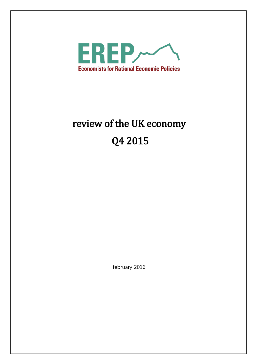

# review of the UK economy Q4 2015

february 2016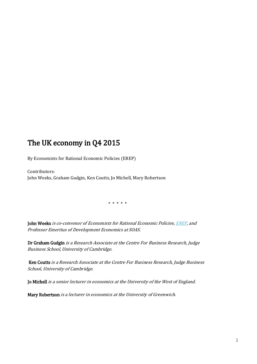## The UK economy in Q4 2015

By Economists for Rational Economic Policies (EREP)

Contributors: John Weeks, Graham Gudgin, Ken Coutts, Jo Michell, Mary Robertson

\* \* \* \* \*

John Weeks is co-convenor of Economists for Rational Economic Policies, [EREP,](http://www.primeeconomics.org/erep/) and Professor Emeritus of Development Economics at SOAS.

Dr Graham Gudgin is a Research Associate at the Centre For Business Research, Judge Business School, University of Cambridge.

 Ken Coutts is a Research Associate at the Centre For Business Research, Judge Business School, University of Cambridge.

Jo Michell is a senior lecturer in economics at the University of the West of England.

Mary Robertson is a lecturer in economics at the University of Greenwich.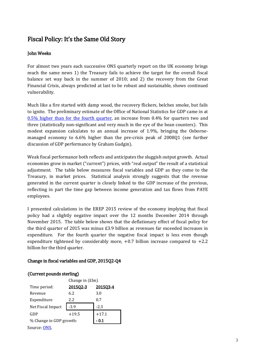## Fiscal Policy: It's the Same Old Story

#### John Weeks

For almost two years each successive ONS quarterly report on the UK economy brings much the same news 1) the Treasury fails to achieve the target for the overall fiscal balance set way back in the summer of 2010; and 2) the recovery from the Great Financial Crisis, always predicted at last to be robust and sustainable, shows continued vulnerability.

Much like a fire started with damp wood, the recovery flickers, belches smoke, but fails to ignite. The preliminary estimate of the Office of National Statistics for GDP came in at [0.5% higher than for the fourth quarter,](http://www.ons.gov.uk/ons/rel/gva/gross-domestic-product--preliminary-estimate/q4-2015/stb-gdp-q4-2015.html) an increase from 0.4% for quarters two and three (statistically non-significant and very much in the eye of the bean counters). This modest expansion calculates to an annual increase of 1.9%, bringing the Osbornemanaged economy to 6.6% higher than the pre-crisis peak of 2008Q1 (see further discussion of GDP performance by Graham Gudgin).

Weak fiscal performance both reflects and anticipates the sluggish output growth. Actual economies grow in market ("current") prices, with "real output" the result of a statistical adjustment. The table below measures fiscal variables and GDP as they come to the Treasury, in market prices. Statistical analysis strongly suggests that the revenue generated in the current quarter is closely linked to the GDP increase of the previous, reflecting in part the time gap between income generation and tax flows from PAYE employees.

I presented calculations in the EREP 2015 review of the economy implying that fiscal policy had a slightly negative impact over the 12 months December 2014 through November 2015. The table below shows that the deflationary effect of fiscal policy for the third quarter of 2015 was minus £3.9 billion as revenues far exceeded increases in expenditure. For the fourth quarter the negative fiscal impact is less even though expenditure tightened by considerably more,  $+0.7$  billion increase compared to  $+2.2$ billion for the third quarter.

#### Change in fiscal variables and GDP, 2015Q2-Q4

#### (Current pounds sterling)

|                         | Change in $(\text{Ebn})$ |          |  |
|-------------------------|--------------------------|----------|--|
| Time period:            | 201502-3                 | 201503-4 |  |
| Revenue                 | 6.2                      | 3.0      |  |
| Expenditure             | 2.2                      | 0.7      |  |
| Net Fiscal Impact       | $-3.9$                   | $-2.3$   |  |
| GDP                     | $+19.5$                  | $+17.1$  |  |
| % Change in GDP growth: | - 0.1                    |          |  |
| Source: ONS             |                          |          |  |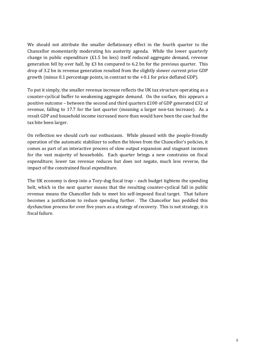We should not attribute the smaller deflationary effect in the fourth quarter to the Chancellor momentarily moderating his austerity agenda. While the lower quarterly change in public expenditure  $(E1.5 \text{ bn} \text{ less})$  itself reduced aggregate demand, revenue generation fell by over half, by  $E3$  bn compared to 6.2 bn for the previous quarter. This drop of 3.2 bn in revenue generation resulted from the slightly slower current price GDP growth (minus  $0.1$  percentage points, in contrast to the  $+0.1$  for price deflated GDP).

To put it simply, the smaller revenue increase reflects the UK tax structure operating as a counter-cyclical buffer to weakening aggregate demand. On the surface, this appears a positive outcome – between the second and third quarters £100 of GDP generated £32 of revenue, falling to 17.7 for the last quarter (meaning a larger non-tax increase). As a result GDP and household income increased more than would have been the case had the tax bite been larger.

On reflection we should curb our enthusiasm. While pleased with the people-friendly operation of the automatic stabilizer to soften the blows from the Chancellor's policies, it comes as part of an interactive process of slow output expansion and stagnant incomes for the vast majority of households. Each quarter brings a new constrains on fiscal expenditure; lower tax revenue reduces but does not negate, much less reverse, the impact of the constrained fiscal expenditure.

The UK economy is deep into a Tory-dug fiscal trap – each budget tightens the spending belt, which in the next quarter means that the resulting counter-cyclical fall in public revenue means the Chancellor fails to meet his self-imposed fiscal target. That failure becomes a justification to reduce spending further. The Chancellor has peddled this dysfunction process for over five years as a strategy of recovery. This is not strategy, it is fiscal failure.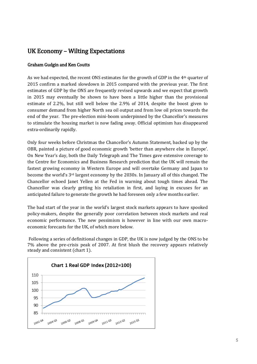## UK Economy – Wilting Expectations

#### Graham Gudgin and Ken Coutts

As we had expected, the recent ONS estimates for the growth of GDP in the  $4<sup>th</sup>$  quarter of 2015 confirm a marked slowdown in 2015 compared with the previous year. The first estimates of GDP by the ONS are frequently revised upwards and we expect that growth in 2015 may eventually be shown to have been a little higher than the provisional estimate of 2.2%, but still well below the 2.9% of 2014, despite the boost given to consumer demand from higher North sea oil output and from low oil prices towards the end of the year. The pre-election mini-boom underpinned by the Chancellor's measures to stimulate the housing market is now fading away. Official optimism has disappeared extra-ordinarily rapidly.

Only four weeks before Christmas the Chancellor's Autumn Statement, backed up by the OBR, painted a picture of good economic growth 'better than anywhere else in Europe'. On New Year's day, both the Daily Telegraph and The Times gave extensive coverage to the Centre for Economics and Business Research prediction that the UK will remain the fastest growing economy in Western Europe and will overtake Germany and Japan to become the world's 3rd largest economy by the 2030s. In January all of this changed. The Chancellor echoed Janet Yellen at the Fed in warning about tough times ahead. The Chancellor was clearly getting his retaliation in first, and laying in excuses for an anticipated failure to generate the growth he had foreseen only a few months earlier.

The bad start of the year in the world's largest stock markets appears to have spooked policy-makers, despite the generally poor correlation between stock markets and real economic performance. The new pessimism is however in line with our own macroeconomic forecasts for the UK, of which more below.

Following a series of definitional changes in GDP, the UK is now judged by the ONS to be 7% above the pre-crisis peak of 2007. At first blush the recovery appears relatively steady and consistent (chart 1).

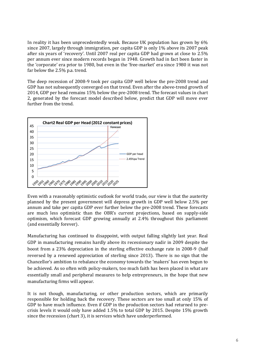In reality it has been unprecedentedly weak. Because UK population has grown by 6% since 2007, largely through immigration, per capita GDP is only 1% above its 2007 peak after six years of 'recovery'. Until 2007 real per capita GDP had grown at close to 2.5% per annum ever since modern records began in 1948. Growth had in fact been faster in the 'corporate' era prior to 1980, but even in the 'free-market' era since 1980 it was not far below the 2.5% p.a. trend.

The deep recession of 2008-9 took per capita GDP well below the pre-2008 trend and GDP has not subsequently converged on that trend. Even after the above-trend growth of 2014, GDP per head remains 15% below the pre-2008 trend. The forecast values in chart 2, generated by the forecast model described below, predict that GDP will move ever further from the trend.



Even with a reasonably optimistic outlook for world trade, our view is that the austerity planned by the present government will depress growth in GDP well below 2.5% per annum and take per capita GDP ever further below the pre-2008 trend. These forecasts are much less optimistic than the OBR's current projections, based on supply-side optimism, which forecast GDP growing annually at 2.4% throughout this parliament (and essentially forever).

Manufacturing has continued to disappoint, with output falling slightly last year. Real GDP in manufacturing remains hardly above its recessionary nadir in 2009 despite the boost from a 23% depreciation in the sterling effective exchange rate in 2008-9 (half reversed by a renewed appreciation of sterling since 2013). There is no sign that the Chancellor's ambition to rebalance the economy towards the 'makers' has even begun to be achieved. As so often with policy-makers, too much faith has been placed in what are essentially small and peripheral measures to help entrepreneurs, in the hope that new manufacturing firms will appear.

It is not though, manufacturing, or other production sectors, which are primarily responsible for holding back the recovery. These sectors are too small at only 15% of GDP to have much influence. Even if GDP in the production sectors had returned to precrisis levels it would only have added 1.5% to total GDP by 2015. Despite 15% growth since the recession (chart 3), it is services which have underperformed.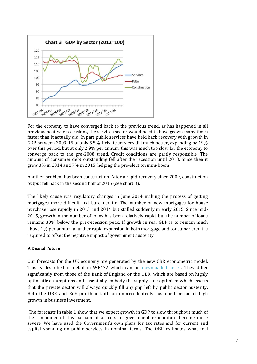

For the economy to have converged back to the previous trend, as has happened in all previous post-war recessions, the services sector would need to have grown many times faster than it actually did. In part public services have held back recovery with growth in GDP between 2009-15 of only 5.5%. Private services did much better, expanding by 19% over this period, but at only 2.9% per annum, this was much too slow for the economy to converge back to the pre-2008 trend. Credit conditions are partly responsible. The amount of consumer debt outstanding fell after the recession until 2013. Since then it grew 3% in 2014 and 7% in 2015, helping the pre-election mini-boom.

Another problem has been construction. After a rapid recovery since 2009, construction output fell back in the second half of 2015 (see chart 3).

The likely cause was regulatory changes in June 2014 making the process of getting mortgages more difficult and bureaucratic. The number of new mortgages for house purchase rose rapidly in 2013 and 2014 but stalled suddenly in early 2015. Since mid-2015, growth in the number of loans has been relatively rapid, but the number of loans remains 30% below the pre-recession peak. If growth in real GDP is to remain much above 1% per annum, a further rapid expansion in both mortgage and consumer credit is required to offset the negative impact of government austerity.

#### A Dismal Future

Our forecasts for the UK economy are generated by the new CBR econometric model. This is described in detail in WP472 which can be [downloaded here](http://www.cbr.cam.ac.uk/publications/working-papers/2015/) . They differ significantly from those of the Bank of England or the OBR, which are based on highly optimistic assumptions and essentially embody the supply-side optimism which asserts that the private sector will always quickly fill any gap left by public sector austerity. Both the OBR and BoE pin their faith on unprecedentedly sustained period of high growth in business investment.

The forecasts in table 1 show that we expect growth in GDP to slow throughout much of the remainder of this parliament as cuts in government expenditure become more severe. We have used the Government's own plans for tax rates and for current and capital spending on public services in nominal terms. The OBR estimates what real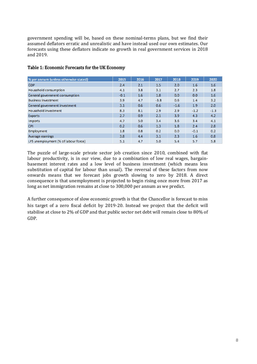government spending will be, based on these nominal-terms plans, but we find their assumed deflators erratic and unrealistic and have instead used our own estimates. Our forecasts using these deflators indicate no growth in real government services in 2018 and 2019.

| % per annum (unless otherwise stated) | 2015   | 2016 | 2017   | 2018   | 2019   | 2020   |
|---------------------------------------|--------|------|--------|--------|--------|--------|
| <b>GDP</b>                            | 2.4    | 2.1  | 1.5    | 2.0    | 1.6    | 1.6    |
| Household consumption                 | 4.1    | 3.8  | 3.1    | 2.7    | 2.3    | 1.8    |
| General government consumption        | $-0.1$ | 1.6  | 1.8    | 0.0    | 0.0    | 1.6    |
| <b>Business investment</b>            | 3.9    | 4.7  | $-3.8$ | 0.6    | 1.4    | 3.2    |
| General government investment         | 3.1    | 0.6  | 0.6    | $-1.6$ | 1.9    | 2.0    |
| Household investment                  | 8.3    | 8.1  | 2.9    | 2.9    | $-1.2$ | $-1.3$ |
| <b>Exports</b>                        | 2.7    | 0.9  | 2.1    | 3.9    | 4.3    | 4.2    |
| <b>Imports</b>                        | 4.7    | 5.0  | 3.4    | 3.6    | 3.4    | 4.1    |
| <b>CPI</b>                            | 0.2    | 0.6  | 1.3    | 1.8    | 2.4    | 2.8    |
| Employment                            | 1.8    | 0.8  | 0.2    | 0.0    | $-0.1$ | 0.2    |
| Average earnings                      | 3.8    | 4.4  | 3.1    | 2.3    | 1.6    | 0.8    |
| LFS unemployment (% of labour force)  | 5.1    | 4.7  | 5.0    | 5.4    | 5.7    | 5.8    |

#### Table 1: Economic Forecasts for the UK Economy

The puzzle of large-scale private sector job creation since 2010, combined with flat labour productivity, is in our view, due to a combination of low real wages, bargainbasement interest rates and a low level of business investment (which means less substitution of capital for labour than usual). The reversal of these factors from now onwards means that we forecast jobs growth slowing to zero by 2018. A direct consequence is that unemployment is projected to begin rising once more from 2017 as long as net immigration remains at close to 300,000 per annum as we predict.

A further consequence of slow economic growth is that the Chancellor is forecast to miss his target of a zero fiscal deficit by 2019-20. Instead we project that the deficit will stabilise at close to 2% of GDP and that public sector net debt will remain close to 80% of GDP.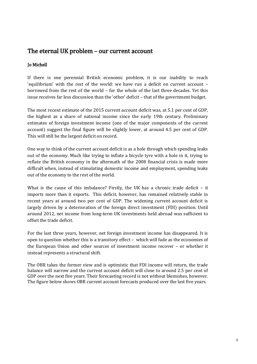### The eternal UK problem – our current account

#### Jo Michell

If there is one perennial British economic problem, it is our inability to reach 'equilibrium' with the rest of the world: we have run a deficit on current account – borrowed from the rest of the world – for the whole of the last three decades. Yet this issue receives far less discussion than the 'other' deficit – that of the government budget.

The most recent estimate of the 2015 current account deficit was, at 5.1 per cent of GDP, the highest as a share of national income since the early 19th century. Preliminary estimates of foreign investment income (one of the major components of the current account) suggest the final figure will be slightly lower, at around 4.5 per cent of GDP. This will still be the largest deficit on record.

One way to think of the current account deficit is as a hole through which spending leaks out of the economy. Much like trying to inflate a bicycle tyre with a hole in it, trying to reflate the British economy in the aftermath of the 2008 financial crisis is made more difficult when, instead of stimulating domestic income and employment, spending leaks out of the economy to the rest of the world.

What is the cause of this imbalance? Firstly, the UK has a chronic trade deficit – it imports more than it exports. This deficit, however, has remained relatively stable in recent years at around two per cent of GDP. The widening current account deficit is largely driven by a deterioration of the foreign direct investment (FDI) position. Until around 2012, net income from long-term UK investments held abroad was sufficient to offset the trade deficit.

For the last three years, however, net foreign investment income has disappeared. It is open to question whether this is a transitory effect – which will fade as the economies of the European Union and other sources of investment income recover – or whether it instead represents a structural shift.

The OBR takes the former view and is optimistic that FDI income will return, the trade balance will narrow and the current account deficit will close to around 2.5 per cent of GDP over the next five years. Their forecasting record is not without blemishes, however. The figure below shows OBR current account forecasts produced over the last five years.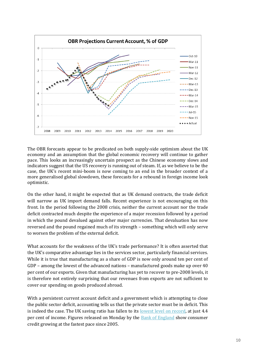

The OBR forecasts appear to be predicated on both supply-side optimism about the UK economy and an assumption that the global economic recovery will continue to gather pace. This looks an increasingly uncertain prospect as the Chinese economy slows and indicators suggest that the US recovery is running out of steam. If, as we believe to be the case, the UK's recent mini-boom is now coming to an end in the broader context of a more generalised global slowdown, these forecasts for a rebound in foreign income look optimistic.

On the other hand, it might be expected that as UK demand contracts, the trade deficit will narrow as UK import demand falls. Recent experience is not encouraging on this front. In the period following the 2008 crisis, neither the current account nor the trade deficit contracted much despite the experience of a major recession followed by a period in which the pound devalued against other major currencies. That devaluation has now reversed and the pound regained much of its strength – something which will only serve to worsen the problem of the external deficit.

What accounts for the weakness of the UK's trade performance? It is often asserted that the UK's comparative advantage lies in the services sector, particularly financial services. While it is true that manufacturing as a share of GDP is now only around ten per cent of GDP – among the lowest of the advanced nations – manufactured goods make up over 40 per cent of our exports. Given that manufacturing has yet to recover to pre-2008 levels, it is therefore not entirely surprising that our revenues from exports are not sufficient to cover our spending on goods produced abroad.

With a persistent current account deficit and a government which is attempting to close the public sector deficit, accounting tells us that the private sector must be in deficit. This is indeed the case. The UK saving ratio has fallen to its [lowest level on record,](http://blogs.wsj.com/moneybeat/2016/02/02/u-k-consumers-have-already-burned-through-their-oil-windfall/) at just 4.4 per cent of income. Figures released on Monday by the [Bank of England](http://www.bankofengland.co.uk/statistics/Pages/mc/2015/dec.aspx) show consumer credit growing at the fastest pace since 2005.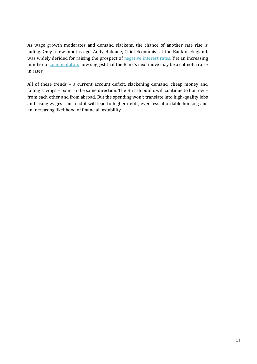As wage growth moderates and demand slackens, the chance of another rate rise is fading. Only a few months ago, Andy Haldane, Chief Economist at the Bank of England, was widely derided for raising the prospect of [negative interest rates.](http://www.bankofengland.co.uk/publications/Pages/speeches/2015/840.aspx) Yet an increasing number of [commentators](http://www.theguardian.com/commentisfree/2016/jan/20/bank-of-england-missing-financial-crisis-interest-rates) now suggest that the Bank's next move may be a cut not a raise in rates.

All of these trends – a current account deficit, slackening demand, cheap money and falling savings – point in the same direction. The British public will continue to borrow – from each other and from abroad. But the spending won't translate into high-quality jobs and rising wages – instead it will lead to higher debts, ever-less affordable housing and an increasing likelihood of financial instability.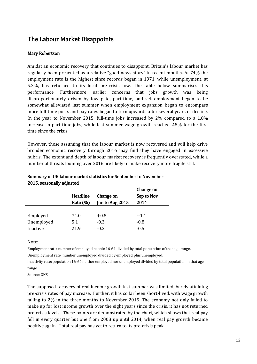## The Labour Market Disappoints

#### Mary Robertson

Amidst an economic recovery that continues to disappoint, Britain's labour market has regularly been presented as a relative "good news story" in recent months. At 74% the employment rate is the highest since records began in 1971, while unemployment, at 5.2%, has returned to its local pre-crisis low. The table below summarises this performance. Furthermore, earlier concerns that jobs growth was being disproportionately driven by low paid, part-time, and self-employment began to be somewhat alleviated last summer when employment expansion began to encompass more full-time posts and pay rates began to turn upwards after several years of decline. In the year to November 2015, full-time jobs increased by 2% compared to a 1.8% increase in part-time jobs, while last summer wage growth reached 2.5% for the first time since the crisis.

However, those assuming that the labour market is now recovered and will help drive broader economic recovery through 2016 may find they have engaged in excessive hubris. The extent and depth of labour market recovery is frequently overstated, while a number of threats looming over 2016 are likely to make recovery more fragile still.

|            | Headline<br>Rate (%) | Change on<br>Jun to Aug 2015 | Change on<br>Sep to Nov<br>2014 |
|------------|----------------------|------------------------------|---------------------------------|
| Employed   | 74.0                 | $+0.5$                       | $+1.1$                          |
| Unemployed | 5.1                  | $-0.3$                       | $-0.8$                          |
| Inactive   | 21.9                 | $-0.2$                       | $-0.5$                          |

#### Summary of UK labour market statistics for September to November 2015, seasonally adjusted

#### Note:

Employment rate: number of employed people 16-64 divided by total population of that age range.

Unemployment rate: number unemployed divided by employed plus unemployed.

Inactivity rate: population 16-64 neither employed nor unemployed divided by total population in that age range.

Source: ONS

The supposed recovery of real income growth last summer was limited, barely attaining pre-crisis rates of pay increase. Further, it has so far been short-lived, with wage growth falling to 2% in the three months to November 2015. The economy not only failed to make up for lost income growth over the eight years since the crisis, it has not returned pre-crisis levels. These points are demonstrated by the chart, which shows that real pay fell in every quarter but one from 2008 up until 2014, when real pay growth became positive again. Total real pay has yet to return to its pre-crisis peak.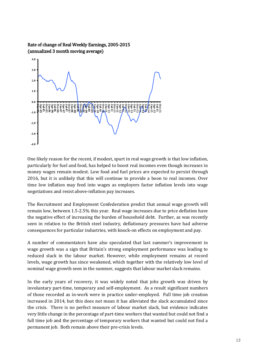

Rate of change of Real Weekly Earnings, 2005-2015 (annualized 3 month moving average)

One likely reason for the recent, if modest, spurt in real wage growth is that low inflation, particularly for fuel and food, has helped to boost real incomes even though increases in money wages remain modest. Low food and fuel prices are expected to persist through 2016, but it is unlikely that this will continue to provide a boon to real incomes. Over time low inflation may feed into wages as employers factor inflation levels into wage negotiations and resist above-inflation pay increases.

The Recruitment and Employment Confederation predict that annual wage growth will remain low, between 1.5-2.5% this year. Real wage increases due to price deflation have the negative effect of increasing the burden of household debt. Further, as was recently seen in relation to the British steel industry, deflationary pressures have had adverse consequences for particular industries, with knock-on effects on employment and pay.

A number of commentators have also speculated that last summer's improvement in wage growth was a sign that Britain's strong employment performance was leading to reduced slack in the labour market. However, while employment remains at record levels, wage growth has since weakened, which together with the relatively low level of nominal wage growth seen in the summer, suggests that labour market slack remains.

In the early years of recovery, it was widely noted that jobs growth was driven by involuntary part-time, temporary and self-employment. As a result significant numbers of those recorded as in-work were in practice under-employed. Full time job creation increased in 2014, but this does not mean it has alleviated the slack accumulated since the crisis. There is no perfect measure of labour market slack, but evidence indicates very little change in the percentage of part-time workers that wanted but could not find a full time job and the percentage of temporary workers that wanted but could not find a permanent job. Both remain above their pre-crisis levels.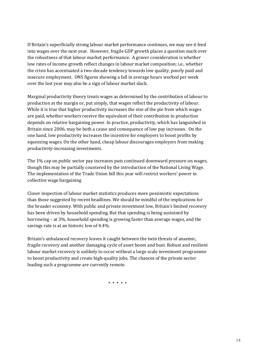If Britain's superficially strong labour market performance continues, we may see it feed into wages over the next year. However, fragile GDP growth places a question mark over the robustness of that labour market performance. A graver consideration is whether low rates of income growth reflect changes in labour market composition; i.e., whether the crisis has accentuated a two-decade tendency towards low quality, poorly paid and insecure employment. ONS figures showing a fall in average hours worked per week over the last year may also be a sign of labour market slack.

Marginal productivity theory treats wages as determined by the contribution of labour to production at the margin or, put simply, that wages reflect the productivity of labour. While it is true that higher productivity increases the size of the pie from which wages are paid, whether workers receive the equivalent of their contribution to production depends on relative bargaining power. In practice, productivity, which has languished in Britain since 2006, may be both a cause and consequence of low pay increases. On the one hand, low productivity increases the incentive for employers to boost profits by squeezing wages. On the other hand, cheap labour discourages employers from making productivity-increasing investments.

The 1% cap on public sector pay increases puts continued downward pressure on wages, though this may be partially countered by the introduction of the National Living Wage. The implementation of the Trade Union bill this year will restrict workers' power in collective wage bargaining

Closer inspection of labour market statistics produces more pessimistic expectations than those suggested by recent headlines. We should be mindful of the implications for the broader economy. With public and private investment low, Britain's limited recovery has been driven by household spending. But that spending is being sustained by borrowing – at 3%, household spending is growing faster than average wages, and the savings rate is at an historic low of 4.4%.

Britain's unbalanced recovery leaves it caught between the twin threats of anaemic, fragile recovery and another damaging cycle of asset boom and bust. Robust and resilient labour market recovery is unlikely to occur without a large scale investment programme to boost productivity and create high-quality jobs. The chances of the private sector leading such a programme are currently remote.

\* \* \* \* \*